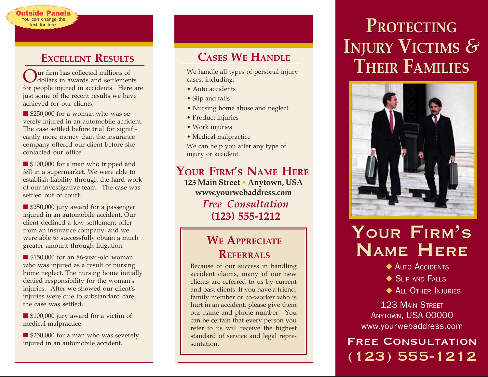## **EXCELLENT RESULTS**

utside Panels You can change the text for free.

ur firm has collected millions of dollars in awards and settlements for people injured in accidents. Here are just some of the recent results we have achieved for our clients:

■ \$250,000 for a woman who was severely injured in an automobile accident. The case settled before trial for significantly more money than the insurance company offered our client before she contacted our office.

■ \$100,000 for a man who tripped and fell in a supermarket. We were able to establish liability through the hard work of our investigative team. The case was settled out of court.

■ \$250,000 jury award for a passenger injured in an automobile accident. Our client declined a low settlement offer from an insurance company, and we were able to successfully obtain a much greater amount through litigation.

■ \$150,000 for an 86-year-old woman who was injured as a result of nursing home neglect. The nursing home initially denied responsibility for the woman's injuries. After we showed our client's injuries were due to substandard care, the case was settled.

■ \$100,000 jury award for a victim of medical malpractice.

■ \$250,000 for a man who was severely injured in an automobile accident.

# **CASES WE HANDLE**

cases, including:

- Auto accidents
- Slip and falls
- Nursing home abuse and neglect
- Product injuries
- Work injuries
- Medical malpractice

We can help you after any type of injury or accident.

**YOUR FIRM'S NAME HERE** *Free Consultation* **(123) 555-1212 123 Main Street • Anytown, USA www.yourwebaddress.com**

## **WE APPRECIATE REFERRALS**

Because of our success in handling accident claims, many of our new clients are referred to us by current and past clients. If you have a friend, family member or co-worker who is hurt in an accident, please give them our name and phone number. You can be certain that every person you refer to us will receive the highest standard of service and legal representation.

# **INJURY VICTIMS** *&* **PROTECTINGINJURY VICTIMS***&* We handle all types of personal injury **THEIR FAMILIES**



# YOUR FIRM'S YOUR FIRM'S NAME HERE

◆ AUTO ACCIDENTS

- ◆ SLIP AND FALLS
- ◆ ALL OTHER INJURIES

123 MAIN STREET ANYTOWN, USA 00000 www.yourwebaddress.com

Free Consultation (123) 555-1212